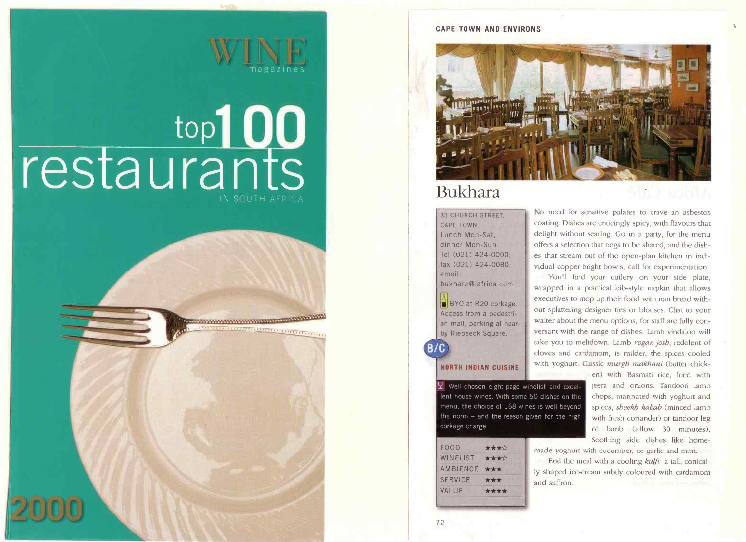#### **CAPE TOWN AND FNVIRONS**



## Bukhara

**33 CHURCH STREET** CAPE TOWN Lunch Mon-Sat. dinner Mon-Sun. Tel (021) 424-0000: fax (021) 424-0080; email: bukhara@iafrica.com

BYO at R20 corkage. Access from a pedestrian mall, parking at nearby Riebeeck Square.

#### **NORTH INDIAN CUISINE**

 $\mathbf{\Omega}$  Well-chosen eight-page winelist and excellent house wines. With some 50 dishes on the menu, the choice of 168 wines is well beyond the norm  $-$  and the reason given for the high corkage charge.

| FOOD           | **** |
|----------------|------|
| WINELIST       | **** |
| AMBIENCE       | ***  |
| <b>SERVICE</b> | ***  |
| VALUF          | **** |
|                |      |

No need for sensitive palates to crave an asbestos coating. Dishes are enticingly spicy, with flavours that delight without searing. Go in a party, for the menu offers a selection that begs to be shared, and the dishes that stream out of the open-plan kitchen in individual copper-bright bowls, call for experimentation.

911 D. I S. M J

You'll find your cutlery on your side plate, wrapped in a practical bib-style napkin that allows executives to mop up their food with nan bread without splattering designer ties or blouses. Chat to your waiter about the menu options, for staff are fully conversant with the range of dishes. Lamb vindaloo will take you to meltdown. Lamb rogan josh, redolent of cloves and cardamom, is milder, the spices cooled with yoghurt. Classic murgh makhani (butter chick-

en) with Basmati rice, fried with jeera and onions. Tandoori lamb chops, marinated with yoghurt and spices; sheekh kabab (minced lamb with fresh coriander) or tandoor leg of lamb (allow 30 minutes). Soothing side dishes like home-

made yoghurt with cucumber, or garlic and mint.

End the meal with a cooling kulfi a tall, conically shaped ice-cream subtly coloured with cardamom and saffron



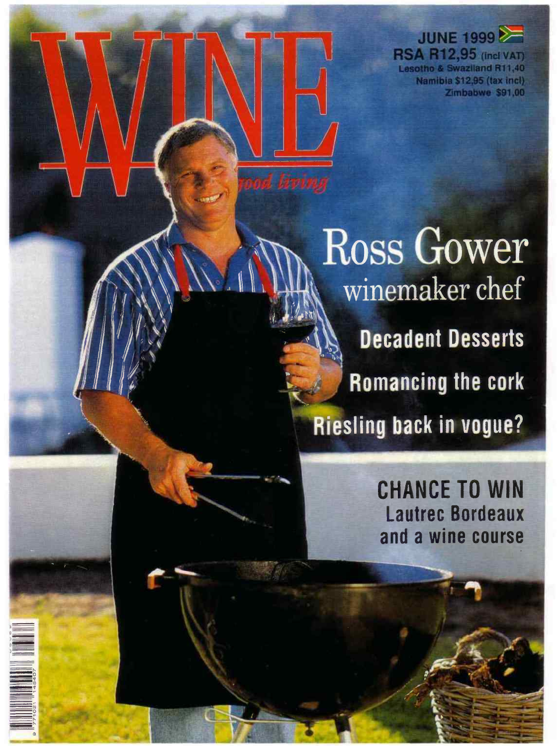**JUNE 1999** 

**RSA R12,95 (incl VAT) Lesotho & Swaziland R11,40** Namibia \$12,95 (tax incl) Zimbabwe \$91,00

**Ross Gower** winemaker chef **Decadent Desserts Romancing the cork Riesling back in vogue?** 

> CHANCE TO WIN Lautrec Bordeaux and a wine course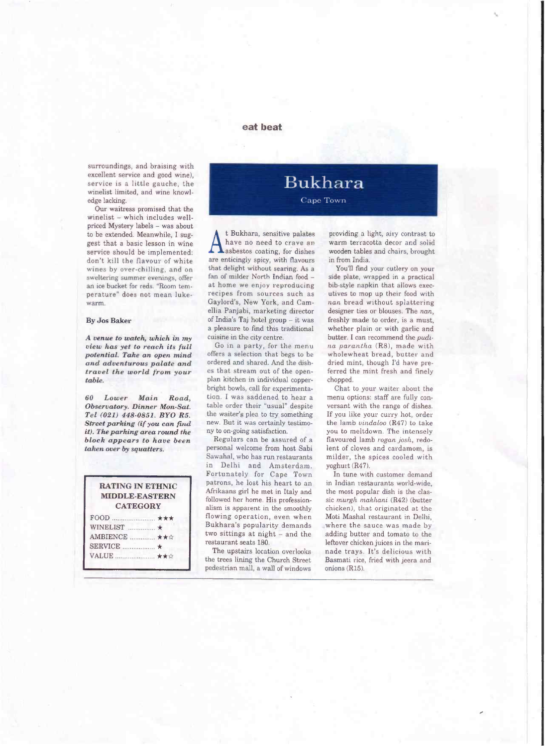### **eat beat**

surroundings, and braising with excellent service and good wine), service is a little gauche, the winelist limited, and wine knowledge lacking.

Our waitress promised that the winelist - which includes wellpriced Mystery labels - was about to be extended. Meanwhile, I suggest that a basic lesson in wine service should be implemented: don't kill the flavour of white wines by over-chilling, and on sweltering summer evenings, offer an ice bucket for reds. "Room temperature" does not mean lukewarm.

#### By Jos Baker

*A venue to watch, which in my view has yet to reach its full potential, Take an open mind and adventurous palate and travel the world from your table.* 

*60 Lower Main Road, Observatory, Dinner Man-Sat. Tel (021) 448-0851. BYO R5. Street parking (if you can find it). The parking area round the block appears to have been taken over by squatters,* 

| <b>RATING IN ETHNIC</b><br><b>MIDDLE-EASTERN</b><br><b>CATEGORY</b> |  |
|---------------------------------------------------------------------|--|
| $FOOD$ $\star\star\star$<br>WINELIST WINEL<br>AMBIENCE  ★★☆         |  |
| VALUE  ★★☆                                                          |  |

# **Bukhara**

## Cape Town

A t Bukhara, sensitive palates<br>have no need to crave an<br>asbestos coating, for dishes have no need to crave an are enticingly spicy, with flavours that delight without searing. As a fan of milder North Indian food at home we enjoy reproducing recipes from sources such as Gaylord's, New York, and Camellia Panjabi, marketing director of India's Taj hotel group - it was a pleasure to find this traditional cuisine in the city centre.

Go in a party, for the menu offers a selection that begs to be ordered and shared. And the dishes that stream out of the openplan kitchen in individual copperbright bowls, call for experimentation. I was saddened to hear a table order their "usual" despite the waiter's plea to try something new. But it was certainly testimony to on-going satisfaction.

Regulars can be assured of a personal welcome from host Sabi Sawahal, who has run restaurants in Delhi and Amsterdam. Fortunately for Cape Town patrons, he lost his heart to an Afrikaans girl he met in Italy and followed her home. His professionalism is apparent in the smoothly flowing operation, even when Bukhara's popularity demands two sittings at night - and the restaurant seats ISO.

The upstairs location overlooks the trees lining the Church Street pedestrian mall, a wall of windows

providing a light, airy contrast to warm terracotta decor and solid wooden tables and chairs, brought in from India.

You'll find your cutlery on your side plate, wrapped in a practical bib-style napkin that allows executives to mop up their food with *nan* bread without splattering designer ties or blouses. The *nan,*  freshly made to order, is a must, whether plain or with garlic and butter. I can recommend the *pudi-Ita parantlia* (RS), made with wholewheat bread, butter and dried mint, though I'd have preferred the mint fresh and finely chopped.

Chat to your waiter about the menu options: staff are fully conversant with the range of dishes. If you like your curry hot, order the lamb *uindaloo* (R47) to take you to meltdown. The intensely flavoured lamb *regan. josh,* redolent of cloves and cardamom, is milder, the spices cooled with yoghurt (R47).

In tune with customer demand in Indian restaurants world-wide, the most popular dish is the classic *murgli mahhani* (R42) (butter chicken), that originated at the Moti Mashal restaurant in Delhi, where the sauce was made by adding butter and tomato to the leftover chicken juices in the marinade trays. It's delicious with Basmati rice, fried with jeera and onions (R15).